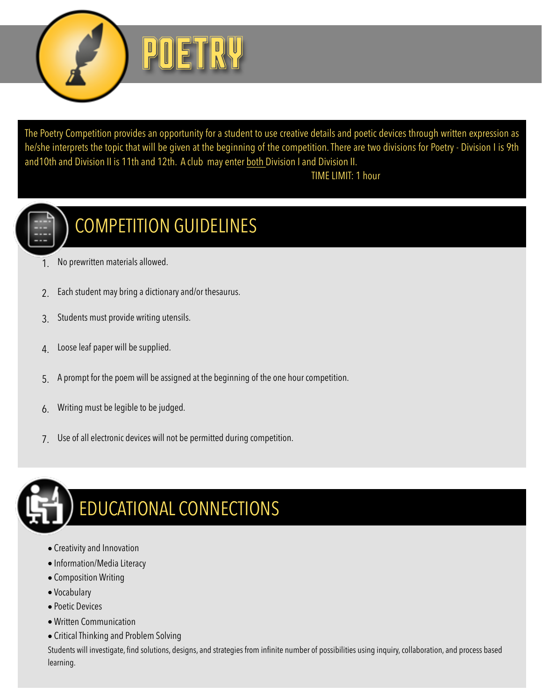

The Poetry Competition provides an opportunity for a student to use creative details and poetic devices through written expression as he/she interprets the topic that will be given at the beginning of the competition. There are two divisions for Poetry - Division I is 9th and10th and Division II is 11th and 12th. A club may enter both Division I and Division II.

## TIME LIMIT: 1 hour



## COMPETITION GUIDELINES

- 1. No prewritten materials allowed.
- 2. Each student may bring a dictionary and/or thesaurus.
- 3. Students must provide writing utensils.
- 4. Loose leaf paper will be supplied.
- 5. A prompt for the poem will be assigned at the beginning of the one hour competition.
- 6. Writing must be legible to be judged.
- 7. Use of all electronic devices will not be permitted during competition.



## EDUCATIONAL CONNECTIONS

- Creativity and Innovation
- Information/Media Literacy
- Composition Writing
- Vocabulary
- Poetic Devices
- Written Communication
- Critical Thinking and Problem Solving

Students will investigate, find solutions, designs, and strategies from infinite number of possibilities using inquiry, collaboration, and process based learning.